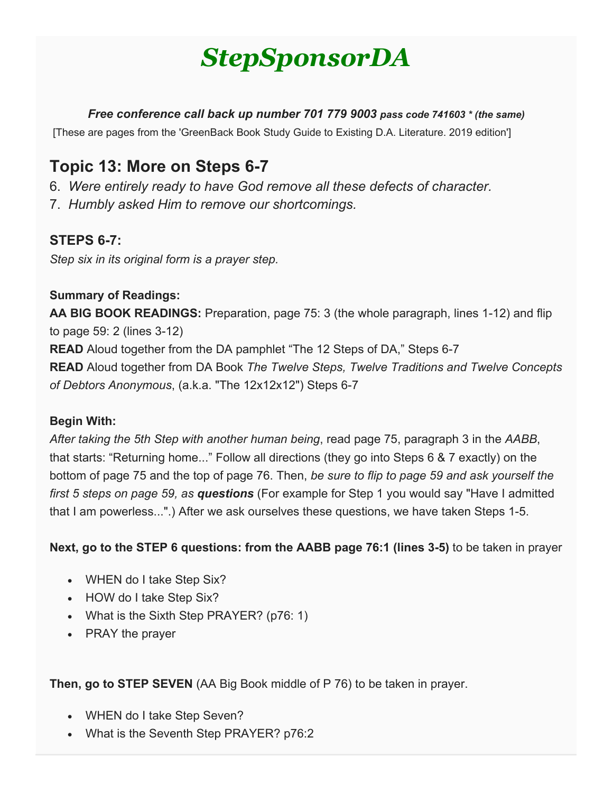# *StepSponsorDA*

*Free conference call back up number 701 779 9003 pass code 741603 \* (the same)*

[These are pages from the 'GreenBack Book Study Guide to Existing D.A. Literature. 2019 edition']

# **Topic 13: More on Steps 6-7**

- 6. *Were entirely ready to have God remove all these defects of character.*
- 7. *Humbly asked Him to remove our shortcomings.*

### **STEPS 6-7:**

*Step six in its original form is a prayer step.*

#### **Summary of Readings:**

**AA BIG BOOK READINGS:** Preparation, page 75: 3 (the whole paragraph, lines 1-12) and flip to page 59: 2 (lines 3-12) **READ** Aloud together from the DA pamphlet "The 12 Steps of DA," Steps 6-7 **READ** Aloud together from DA Book *The Twelve Steps, Twelve Traditions and Twelve Concepts of Debtors Anonymous*, (a.k.a. "The 12x12x12") Steps 6-7

#### **Begin With:**

*After taking the 5th Step with another human being*, read page 75, paragraph 3 in the *AABB*, that starts: "Returning home..." Follow all directions (they go into Steps 6 & 7 exactly) on the bottom of page 75 and the top of page 76. Then, *be sure to flip to page 59 and ask yourself the first 5 steps on page 59, as questions* (For example for Step 1 you would say "Have I admitted that I am powerless...".) After we ask ourselves these questions, we have taken Steps 1-5.

**Next, go to the STEP 6 questions: from the AABB page 76:1 (lines 3-5)** to be taken in prayer

- WHEN do I take Step Six?
- HOW do I take Step Six?
- What is the Sixth Step PRAYER? (p76: 1)
- PRAY the prayer

**Then, go to STEP SEVEN** (AA Big Book middle of P 76) to be taken in prayer.

- WHEN do I take Step Seven?
- What is the Seventh Step PRAYER? p76:2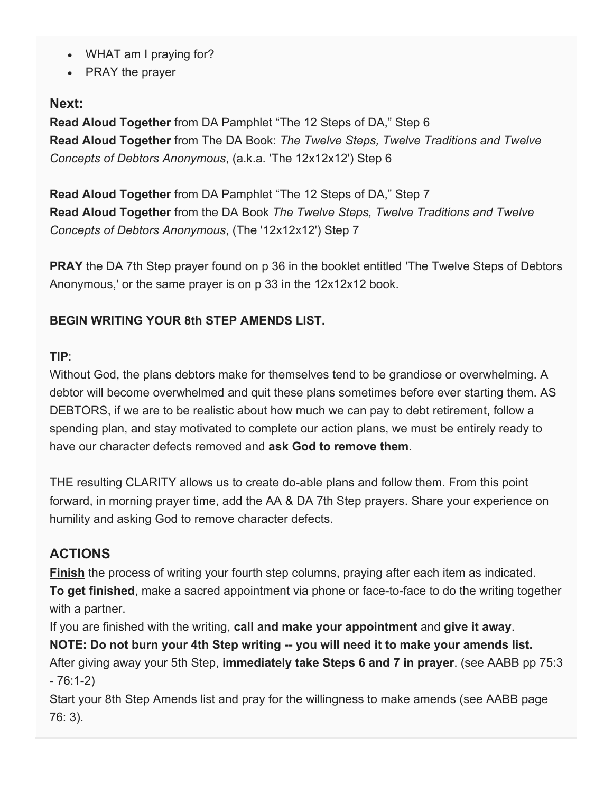- WHAT am I praying for?
- PRAY the prayer

#### **Next:**

**Read Aloud Together** from DA Pamphlet "The 12 Steps of DA," Step 6 **Read Aloud Together** from The DA Book: *The Twelve Steps, Twelve Traditions and Twelve Concepts of Debtors Anonymous*, (a.k.a. 'The 12x12x12') Step 6

**Read Aloud Together** from DA Pamphlet "The 12 Steps of DA," Step 7 **Read Aloud Together** from the DA Book *The Twelve Steps, Twelve Traditions and Twelve Concepts of Debtors Anonymous*, (The '12x12x12') Step 7

**PRAY** the DA 7th Step prayer found on p 36 in the booklet entitled 'The Twelve Steps of Debtors Anonymous,' or the same prayer is on p 33 in the 12x12x12 book.

#### **BEGIN WRITING YOUR 8th STEP AMENDS LIST.**

#### **TIP**:

Without God, the plans debtors make for themselves tend to be grandiose or overwhelming. A debtor will become overwhelmed and quit these plans sometimes before ever starting them. AS DEBTORS, if we are to be realistic about how much we can pay to debt retirement, follow a spending plan, and stay motivated to complete our action plans, we must be entirely ready to have our character defects removed and **ask God to remove them**.

THE resulting CLARITY allows us to create do-able plans and follow them. From this point forward, in morning prayer time, add the AA & DA 7th Step prayers. Share your experience on humility and asking God to remove character defects.

#### **ACTIONS**

**Finish** the process of writing your fourth step columns, praying after each item as indicated. **To get finished**, make a sacred appointment via phone or face-to-face to do the writing together with a partner.

If you are finished with the writing, **call and make your appointment** and **give it away**.

**NOTE: Do not burn your 4th Step writing -- you will need it to make your amends list.** After giving away your 5th Step, **immediately take Steps 6 and 7 in prayer**. (see AABB pp 75:3  $-76:1-2)$ 

Start your 8th Step Amends list and pray for the willingness to make amends (see AABB page 76: 3).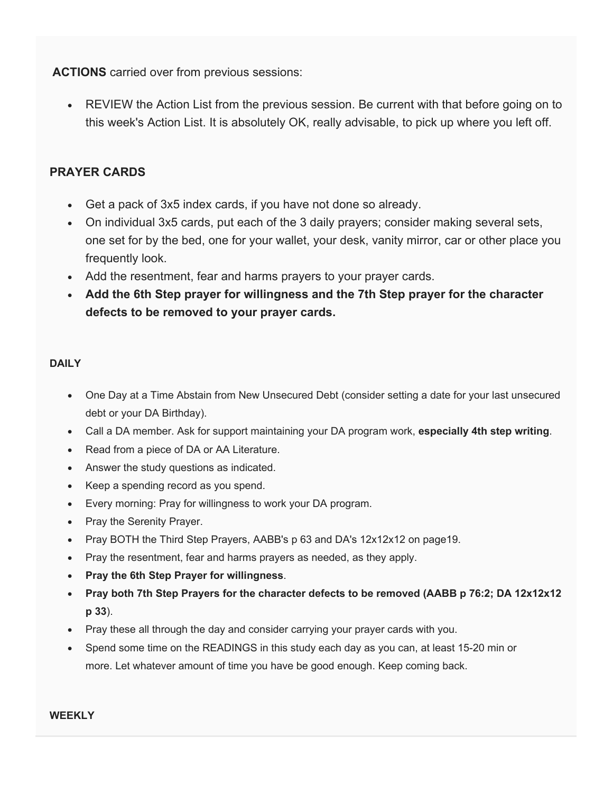**ACTIONS** carried over from previous sessions:

• REVIEW the Action List from the previous session. Be current with that before going on to this week's Action List. It is absolutely OK, really advisable, to pick up where you left off.

#### **PRAYER CARDS**

- Get a pack of 3x5 index cards, if you have not done so already.
- On individual 3x5 cards, put each of the 3 daily prayers; consider making several sets, one set for by the bed, one for your wallet, your desk, vanity mirror, car or other place you frequently look.
- Add the resentment, fear and harms prayers to your prayer cards.
- **Add the 6th Step prayer for willingness and the 7th Step prayer for the character defects to be removed to your prayer cards.**

#### **DAILY**

- One Day at a Time Abstain from New Unsecured Debt (consider setting a date for your last unsecured debt or your DA Birthday).
- Call a DA member. Ask for support maintaining your DA program work, **especially 4th step writing**.
- Read from a piece of DA or AA Literature.
- Answer the study questions as indicated.
- Keep a spending record as you spend.
- Every morning: Pray for willingness to work your DA program.
- Pray the Serenity Prayer.
- Pray BOTH the Third Step Prayers, AABB's p 63 and DA's 12x12x12 on page19.
- Pray the resentment, fear and harms prayers as needed, as they apply.
- **Pray the 6th Step Prayer for willingness**.
- **Pray both 7th Step Prayers for the character defects to be removed (AABB p 76:2; DA 12x12x12 p 33**).
- Pray these all through the day and consider carrying your prayer cards with you.
- Spend some time on the READINGS in this study each day as you can, at least 15-20 min or more. Let whatever amount of time you have be good enough. Keep coming back.

**WEEKLY**